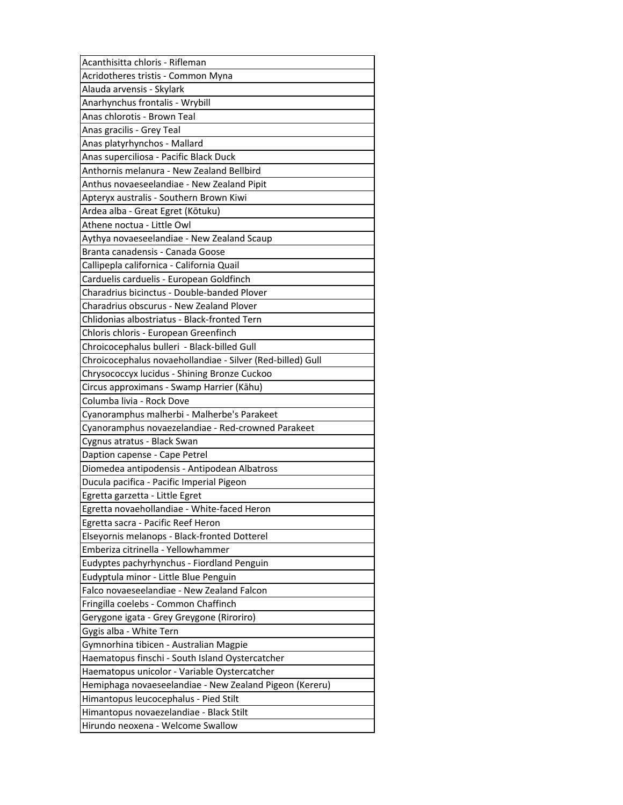| Acanthisitta chloris - Rifleman                            |
|------------------------------------------------------------|
| Acridotheres tristis - Common Myna                         |
| Alauda arvensis - Skylark                                  |
| Anarhynchus frontalis - Wrybill                            |
| Anas chlorotis - Brown Teal                                |
| Anas gracilis - Grey Teal                                  |
| Anas platyrhynchos - Mallard                               |
| Anas superciliosa - Pacific Black Duck                     |
| Anthornis melanura - New Zealand Bellbird                  |
| Anthus novaeseelandiae - New Zealand Pipit                 |
| Apteryx australis - Southern Brown Kiwi                    |
| Ardea alba - Great Egret (Kōtuku)                          |
| Athene noctua - Little Owl                                 |
| Aythya novaeseelandiae - New Zealand Scaup                 |
| Branta canadensis - Canada Goose                           |
| Callipepla californica - California Quail                  |
| Carduelis carduelis - European Goldfinch                   |
| Charadrius bicinctus - Double-banded Plover                |
| Charadrius obscurus - New Zealand Plover                   |
| Chlidonias albostriatus - Black-fronted Tern               |
| Chloris chloris - European Greenfinch                      |
| Chroicocephalus bulleri - Black-billed Gull                |
| Chroicocephalus novaehollandiae - Silver (Red-billed) Gull |
| Chrysococcyx lucidus - Shining Bronze Cuckoo               |
| Circus approximans - Swamp Harrier (Kāhu)                  |
| Columba livia - Rock Dove                                  |
| Cyanoramphus malherbi - Malherbe's Parakeet                |
| Cyanoramphus novaezelandiae - Red-crowned Parakeet         |
| Cygnus atratus - Black Swan                                |
| Daption capense - Cape Petrel                              |
| Diomedea antipodensis - Antipodean Albatross               |
| Ducula pacifica - Pacific Imperial Pigeon                  |
| Egretta garzetta - Little Egret                            |
| Egretta novaehollandiae - White-faced Heron                |
| Egretta sacra - Pacific Reef Heron                         |
| Elseyornis melanops - Black-fronted Dotterel               |
| Emberiza citrinella - Yellowhammer                         |
| Eudyptes pachyrhynchus - Fiordland Penguin                 |
| Eudyptula minor - Little Blue Penguin                      |
| Falco novaeseelandiae - New Zealand Falcon                 |
| Fringilla coelebs - Common Chaffinch                       |
| Gerygone igata - Grey Greygone (Riroriro)                  |
| Gygis alba - White Tern                                    |
| Gymnorhina tibicen - Australian Magpie                     |
| Haematopus finschi - South Island Oystercatcher            |
| Haematopus unicolor - Variable Oystercatcher               |
| Hemiphaga novaeseelandiae - New Zealand Pigeon (Kereru)    |
| Himantopus leucocephalus - Pied Stilt                      |
|                                                            |
| Himantopus novaezelandiae - Black Stilt                    |